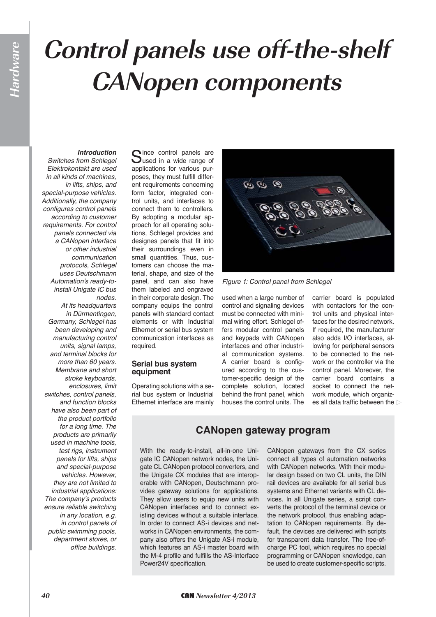# **Control panels use off-the-shelf CANopen components**

# *Introduction*

*Switches from Schlegel Elektrokontakt are used in all kinds of machines, in lifts, ships, and special-purpose vehicles. Additionally, the company configures control panels according to customer requirements. For control panels connected via a CANopen interface or other industrial communication protocols, Schlegel uses Deutschmann*  Automation's ready-to*install Unigate IC bus nodes.* 

*At its headquarters in Dürmentingen, Germany, Schlegel has been developing and manufacturing control units, signal lamps, and terminal blocks for more than 60 years. Membrane and short stroke keyboards, enclosures, limit switches, control panels, and function blocks have also been part of the product portfolio for a long time. The products are primarily used in machine tools, test rigs, instrument panels for lifts, ships and special-purpose vehicles. However, they are not limited to industrial applications:*  The company's products *ensure reliable switching in any location, e.g. in control panels of public swimming pools, department stores, or office buildings.*

Since control panels are<br>Sused in a wide range of applications for various purposes, they must fulfill different requirements concerning form factor, integrated control units, and interfaces to connect them to controllers. By adopting a modular approach for all operating solutions, Schlegel provides and designes panels that fit into their surroundings even in small quantities. Thus, customers can choose the material, shape, and size of the panel, and can also have them labeled and engraved in their corporate design. The company equips the control panels with standard contact elements or with Industrial Ethernet or serial bus system communication interfaces as required.

# **Serial bus system equipment**

Operating solutions with a serial bus system or Industrial Ethernet interface are mainly



*Figure 1: Control panel from Schlegel*

used when a large number of control and signaling devices must be connected with minimal wiring effort. Schlegel offers modular control panels and keypads with CANopen interfaces and other industrial communication systems. A carrier board is configured according to the customer-specific design of the complete solution, located behind the front panel, which houses the control units. The

carrier board is populated with contactors for the control units and physical interfaces for the desired network. If required, the manufacturer also adds I/O interfaces, allowing for peripheral sensors to be connected to the network or the controller via the control panel. Moreover, the carrier board contains a socket to connect the network module, which organizes all data traffic between the

# **CANopen gateway program**

With the ready-to-install, all-in-one Unigate IC CANopen network nodes, the Unigate CL CANopen protocol converters, and the Unigate CX modules that are interoperable with CANopen, Deutschmann provides gateway solutions for applications. They allow users to equip new units with CANopen interfaces and to connect existing devices without a suitable interface. In order to connect AS-i devices and networks in CANopen environments, the company also offers the Unigate AS-i module, which features an AS-i master board with the M-4 profile and fulfills the AS-Interface Power24V specification.

CANopen gateways from the CX series connect all types of automation networks with CANopen networks. With their modular design based on two CL units, the DIN rail devices are available for all serial bus systems and Ethernet variants with CL devices. In all Unigate series, a script converts the protocol of the terminal device or the network protocol, thus enabling adaptation to CANopen requirements. By default, the devices are delivered with scripts for transparent data transfer. The free-ofcharge PC tool, which requires no special programming or CANopen knowledge, can be used to create customer-specific scripts.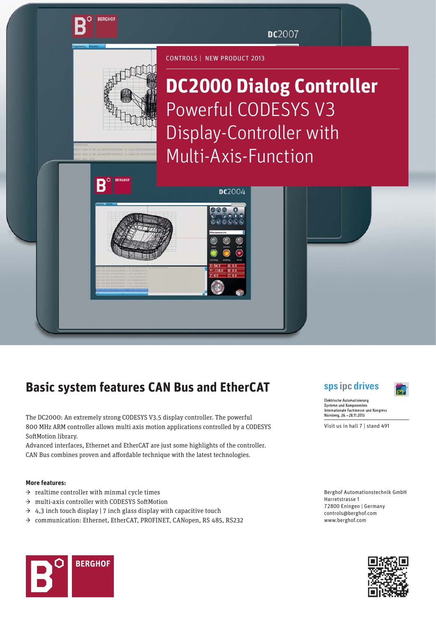DC2007



**BERGHOF** 

В

**DC2000 Dialog Controller**  Powerful CODESYS V3 Display-Controller with Multi-Axis-Function

CONTROLS | NEW PRODUCT 2013

**DC2004** 

 $0 0 0$ 

# **Basic system features CAN Bus and EtherCAT**

The DC2000: An extremely strong CODESYS V3.5 display controller. The powerful 800 MHz ARM controller allows multi axis motion applications controlled by a CODESYS SoftMotion library.

Advanced interfaces, Ethernet and EtherCAT are just some highlights of the controller. CAN Bus combines proven and affordable technique with the latest technologies.

### **More features:**

- $\rightarrow$  realtime controller with minmal cycle times
- → multi-axis controller with CODESYS SoftMotion
- $\rightarrow$  4,3 inch touch display | 7 inch glass display with capacitive touch
- → communication: Ethernet, EtherCAT, PROFINET, CANopen, RS 485, RS232





**Flektrische Automatisierung** Systeme und Komponenter Internationale Fachmesse und Kongress Nürnberg, 26. - 28.11.2013

Visit us in hall 7 | stand 491

Berghof Automationstechnik GmbH Harretstrasse 1 72800 Eningen | Germany controls@berghof.com www.berghof.com



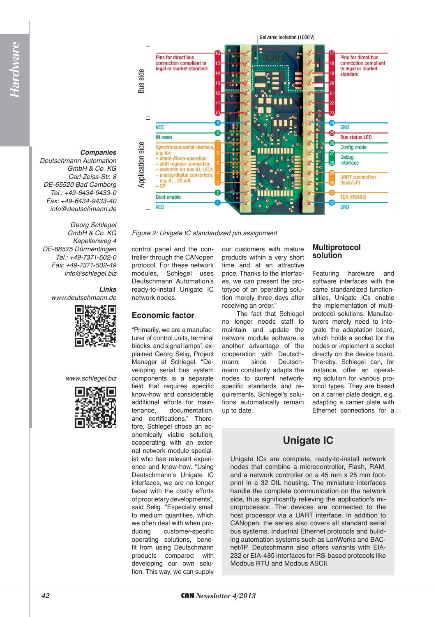#### Galvanic isolation (1000V)



*Deutschmann Automation GmbH & Co. KG Carl-Zeiss-Str. 8 DE-65520 Bad Camberg Tel.: +49-6434-9433-0 Fax: +49-6434-9433-40 info@deutschmann.de*

*Georg Schlegel GmbH & Co. KG Kapellenweg 4 DE-88525 Dürmentingen Tel.: +49-7371-502-0 Fax: +49-7371-502-49 info@schlegel.biz*

> *Links www.deutschmann.de*



*www.schlegel.biz*





*Figure 2: Unigate IC standardized pin assignment*

control panel and the controller through the CANopen protocol. For these network modules, Schlegel uses Deutschmann Automation's ready-to-install Unigate IC network nodes.

# **Economic factor**

"Primarily, we are a manufacturer of control units, terminal blocks, and signal lamps", explained Georg Selig, Project Manager at Schlegel. "Developing serial bus system components is a separate field that requires specific know-how and considerable additional efforts for maintenance, documentation, and certifications." Therefore, Schlegel chose an economically viable solution, cooperating with an external network module specialist who has relevant experience and know-how. "Using Deutschmann's Unigate IC interfaces, we are no longer faced with the costly efforts of proprietary developments", said Selig. "Especially small to medium quantities, which we often deal with when producing customer-specific operating solutions, benefit from using Deutschmann products compared with developing our own solution. This way, we can supply

our customers with mature products within a very short time and at an attractive price. Thanks to the interfaces, we can present the prototype of an operating solution merely three days after receiving an order."

The fact that Schlegel no longer needs staff to maintain and update the network module software is another advantage of the cooperation with Deutschmann: since Deutschmann constantly adapts the nodes to current networkspecific standards and requirements, Schlegel's solutions automatically remain up to date.

# **Multiprotocol solution**

Featuring hardware and software interfaces with the same standardized functionalities, Unigate ICs enable the implementation of multiprotocol solutions. Manufacturers merely need to integrate the adaptation board, which holds a socket for the nodes or implement a socket directly on the device board. Thereby, Schlegel can, for instance, offer an operating solution for various protocol types. They are based on a carrier plate design, e.g. adapting a carrier plate with Ethernet connections for  $a \geq$ 

# **Unigate IC**

Unigate ICs are complete, ready-to-install network nodes that combine a microcontroller, Flash, RAM, and a network controller on a 45 mm x 25 mm footprint in a 32 DIL housing. The miniature interfaces handle the complete communication on the network side, thus significantly relieving the application's microprocessor. The devices are connected to the host processor via a UART interface. In addition to CANopen, the series also covers all standard serial bus systems, Industrial Ethernet protocols and building automation systems such as LonWorks and BACnet/IP. Deutschmann also offers variants with EIA-232 or EIA-485 interfaces for RS-based protocols like Modbus RTU and Modbus ASCII.